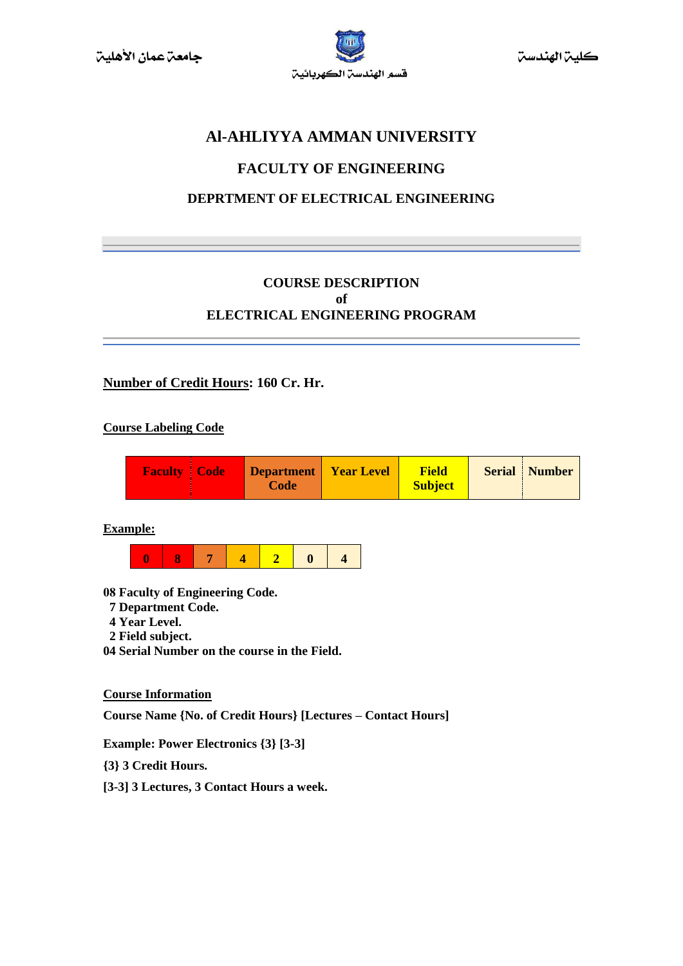

كلين الهندسن

# **Al-AHLIYYA AMMAN UNIVERSITY**

# **FACULTY OF ENGINEERING**

# **DEPRTMENT OF ELECTRICAL ENGINEERING**

# **COURSE DESCRIPTION of ELECTRICAL ENGINEERING PROGRAM**

# **Number of Credit Hours: 160 Cr. Hr.**

#### **Course Labeling Code**

| <b>Faculty   Code</b> | Department<br>Code | <b>Year Level</b> | <b>Field</b><br><b>Subject</b> |  | <b>Serial</b> Number |
|-----------------------|--------------------|-------------------|--------------------------------|--|----------------------|
|-----------------------|--------------------|-------------------|--------------------------------|--|----------------------|

**Example:**



- **08 Faculty of Engineering Code.**
- **7 Department Code.**
- **4 Year Level.**
- **2 Field subject.**
- **04 Serial Number on the course in the Field.**

**Course Information**

**Course Name {No. of Credit Hours} [Lectures – Contact Hours]**

**Example: Power Electronics {3} [3-3]**

**{3} 3 Credit Hours.**

**[3-3] 3 Lectures, 3 Contact Hours a week.**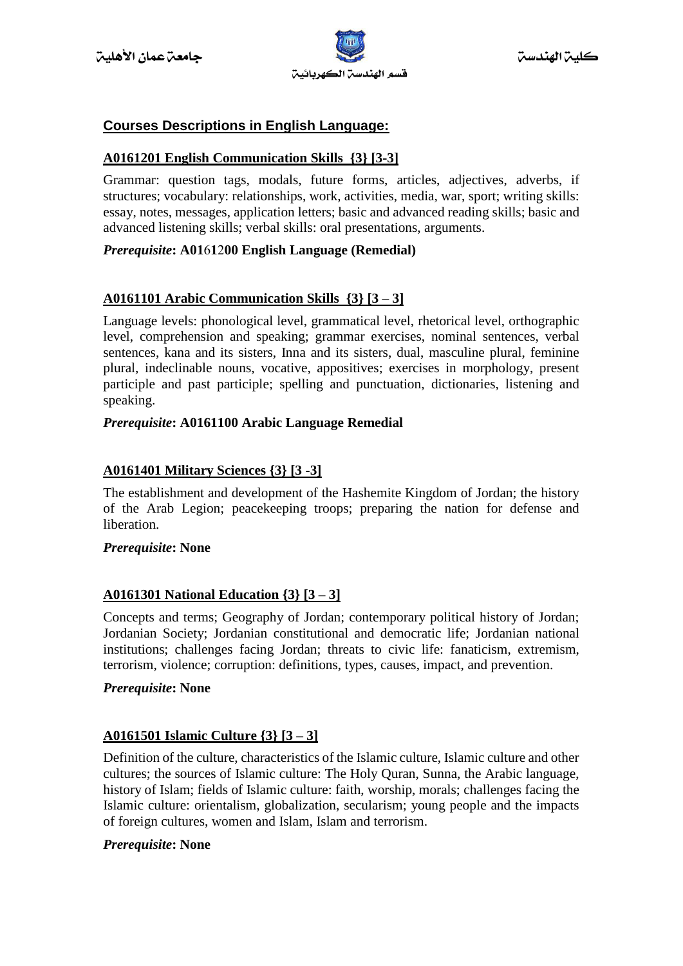

# **Courses Descriptions in English Language:**

# **A0161201 English Communication Skills {3} [3-3]**

Grammar: question tags, modals, future forms, articles, adjectives, adverbs, if structures; vocabulary: relationships, work, activities, media, war, sport; writing skills: essay, notes, messages, application letters; basic and advanced reading skills; basic and advanced listening skills; verbal skills: oral presentations, arguments.

# *Prerequisite***: A01**6**1**2**00 English Language (Remedial)**

# **A0161101 Arabic Communication Skills {3} [3 – 3]**

Language levels: phonological level, grammatical level, rhetorical level, orthographic level, comprehension and speaking; grammar exercises, nominal sentences, verbal sentences, kana and its sisters, Inna and its sisters, dual, masculine plural, feminine plural, indeclinable nouns, vocative, appositives; exercises in morphology, present participle and past participle; spelling and punctuation, dictionaries, listening and speaking.

# *Prerequisite***: A0161100 Arabic Language Remedial**

# **A0161401 Military Sciences {3} [3 -3]**

The establishment and development of the Hashemite Kingdom of Jordan; the history of the Arab Legion; peacekeeping troops; preparing the nation for defense and liberation.

#### *Prerequisite***: None**

# **A0161301 National Education {3} [3 – 3]**

Concepts and terms; Geography of Jordan; contemporary political history of Jordan; Jordanian Society; Jordanian constitutional and democratic life; Jordanian national institutions; challenges facing Jordan; threats to civic life: fanaticism, extremism, terrorism, violence; corruption: definitions, types, causes, impact, and prevention.

#### *Prerequisite***: None**

#### **A0161501 Islamic Culture {3} [3 – 3]**

Definition of the culture, characteristics of the Islamic culture, Islamic culture and other cultures; the sources of Islamic culture: The Holy Quran, Sunna, the Arabic language, history of Islam; fields of Islamic culture: faith, worship, morals; challenges facing the Islamic culture: orientalism, globalization, secularism; young people and the impacts of foreign cultures, women and Islam, Islam and terrorism.

#### *Prerequisite***: None**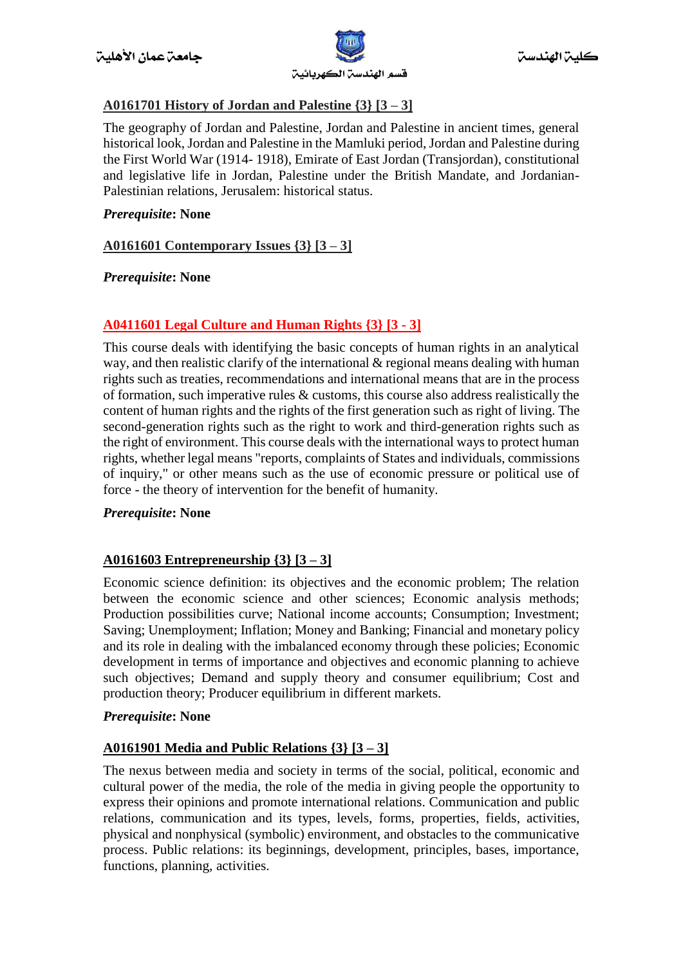

# **A0161701 History of Jordan and Palestine {3} [3 – 3]**

The geography of Jordan and Palestine, Jordan and Palestine in ancient times, general historical look, Jordan and Palestine in the Mamluki period, Jordan and Palestine during the First World War (1914- 1918), Emirate of East Jordan (Transjordan), constitutional and legislative life in Jordan, Palestine under the British Mandate, and Jordanian-Palestinian relations, Jerusalem: historical status.

# *Prerequisite***: None**

# **A0161601 Contemporary Issues {3} [3 – 3]**

# *Prerequisite***: None**

# **A0411601 Legal Culture and Human Rights {3} [3 - 3]**

This course deals with identifying the basic concepts of human rights in an analytical way, and then realistic clarify of the international & regional means dealing with human rights such as treaties, recommendations and international means that are in the process of formation, such imperative rules & customs, this course also address realistically the content of human rights and the rights of the first generation such as right of living. The second-generation rights such as the right to work and third-generation rights such as the right of environment. This course deals with the international ways to protect human rights, whether legal means "reports, complaints of States and individuals, commissions of inquiry," or other means such as the use of economic pressure or political use of force - the theory of intervention for the benefit of humanity.

#### *Prerequisite***: None**

# **A0161603 Entrepreneurship {3} [3 – 3]**

Economic science definition: its objectives and the economic problem; The relation between the economic science and other sciences; Economic analysis methods; Production possibilities curve; National income accounts; Consumption; Investment; Saving; Unemployment; Inflation; Money and Banking; Financial and monetary policy and its role in dealing with the imbalanced economy through these policies; Economic development in terms of importance and objectives and economic planning to achieve such objectives; Demand and supply theory and consumer equilibrium; Cost and production theory; Producer equilibrium in different markets.

#### *Prerequisite***: None**

# **A0161901 Media and Public Relations {3} [3 – 3]**

The nexus between media and society in terms of the social, political, economic and cultural power of the media, the role of the media in giving people the opportunity to express their opinions and promote international relations. Communication and public relations, communication and its types, levels, forms, properties, fields, activities, physical and nonphysical (symbolic) environment, and obstacles to the communicative process. Public relations: its beginnings, development, principles, bases, importance, functions, planning, activities.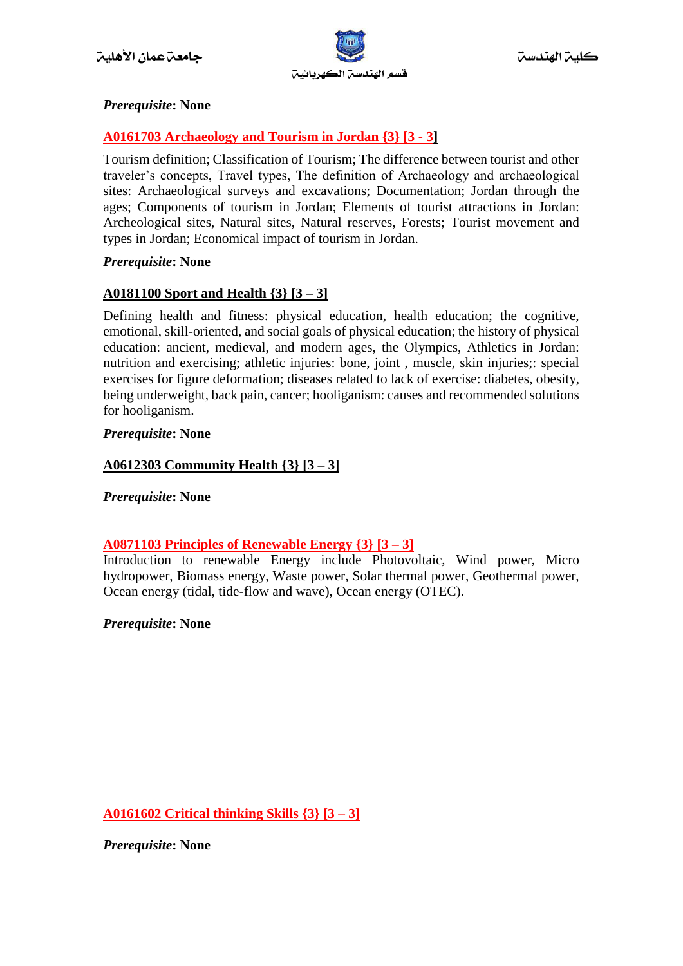

# *Prerequisite***: None**

# **A0161703 Archaeology and Tourism in Jordan {3} [3 - 3]**

Tourism definition; Classification of Tourism; The difference between tourist and other traveler's concepts, Travel types, The definition of Archaeology and archaeological sites: Archaeological surveys and excavations; Documentation; Jordan through the ages; Components of tourism in Jordan; Elements of tourist attractions in Jordan: Archeological sites, Natural sites, Natural reserves, Forests; Tourist movement and types in Jordan; Economical impact of tourism in Jordan.

# *Prerequisite***: None**

# **A0181100 Sport and Health {3} [3 – 3]**

Defining health and fitness: physical education, health education; the cognitive, emotional, skill-oriented, and social goals of physical education; the history of physical education: ancient, medieval, and modern ages, the Olympics, Athletics in Jordan: nutrition and exercising; athletic injuries: bone, joint , muscle, skin injuries;: special exercises for figure deformation; diseases related to lack of exercise: diabetes, obesity, being underweight, back pain, cancer; hooliganism: causes and recommended solutions for hooliganism.

# *Prerequisite***: None**

# **A0612303 Community Health {3} [3 – 3]**

*Prerequisite***: None**

# **A0871103 Principles of Renewable Energy {3} [3 – 3]**

Introduction to renewable Energy include Photovoltaic, Wind power, Micro hydropower, Biomass energy, Waste power, Solar thermal power, Geothermal power, Ocean energy (tidal, tide-flow and wave), Ocean energy (OTEC).

# *Prerequisite***: None**

**A0161602 Critical thinking Skills {3} [3 – 3]**

*Prerequisite***: None**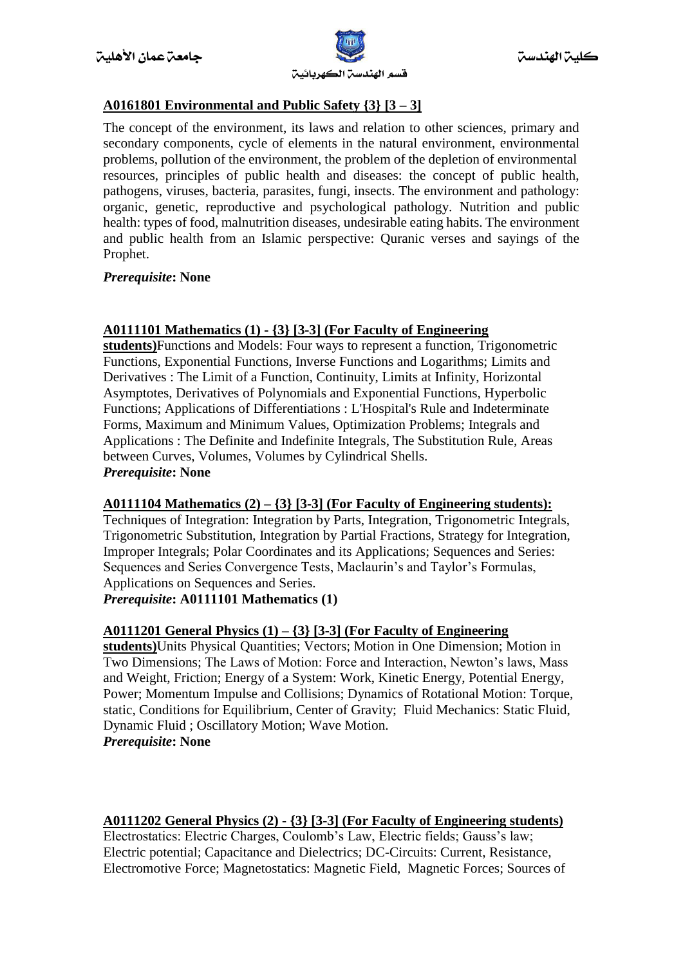

# **A0161801 Environmental and Public Safety {3} [3 – 3]**

The concept of the environment, its laws and relation to other sciences, primary and secondary components, cycle of elements in the natural environment, environmental problems, pollution of the environment, the problem of the depletion of environmental resources, principles of public health and diseases: the concept of public health, pathogens, viruses, bacteria, parasites, fungi, insects. The environment and pathology: organic, genetic, reproductive and psychological pathology. Nutrition and public health: types of food, malnutrition diseases, undesirable eating habits. The environment and public health from an Islamic perspective: Quranic verses and sayings of the Prophet.

#### *Prerequisite***: None**

#### **A0111101 Mathematics (1) - {3} [3-3] (For Faculty of Engineering**

**students)**Functions and Models: Four ways to represent a function, Trigonometric Functions, Exponential Functions, Inverse Functions and Logarithms; Limits and Derivatives : The Limit of a Function, Continuity, Limits at Infinity, Horizontal Asymptotes, Derivatives of Polynomials and Exponential Functions, Hyperbolic Functions; Applications of Differentiations : L'Hospital's Rule and Indeterminate Forms, Maximum and Minimum Values, Optimization Problems; Integrals and Applications : The Definite and Indefinite Integrals, The Substitution Rule, Areas between Curves, Volumes, Volumes by Cylindrical Shells. *Prerequisite***: None**

#### **A0111104 Mathematics (2) – {3} [3-3] (For Faculty of Engineering students):**

Techniques of Integration: Integration by Parts, Integration, Trigonometric Integrals, Trigonometric Substitution, Integration by Partial Fractions, Strategy for Integration, Improper Integrals; Polar Coordinates and its Applications; Sequences and Series: Sequences and Series Convergence Tests, Maclaurin's and Taylor's Formulas, Applications on Sequences and Series.

*Prerequisite***: A0111101 Mathematics (1)**

#### **A0111201 General Physics (1) – {3} [3-3] (For Faculty of Engineering**

**students)**Units Physical Quantities; Vectors; Motion in One Dimension; Motion in Two Dimensions; The Laws of Motion: Force and Interaction, Newton's laws, Mass and Weight, Friction; Energy of a System: Work, Kinetic Energy, Potential Energy, Power; Momentum Impulse and Collisions; Dynamics of Rotational Motion: Torque, static, Conditions for Equilibrium, Center of Gravity; Fluid Mechanics: Static Fluid, Dynamic Fluid ; Oscillatory Motion; Wave Motion. *Prerequisite***: None**

# **A0111202 General Physics (2) - {3} [3-3] (For Faculty of Engineering students)**

Electrostatics: Electric Charges, Coulomb's Law, Electric fields; Gauss's law; Electric potential; Capacitance and Dielectrics; DC-Circuits: Current, Resistance, Electromotive Force; Magnetostatics: Magnetic Field, Magnetic Forces; Sources of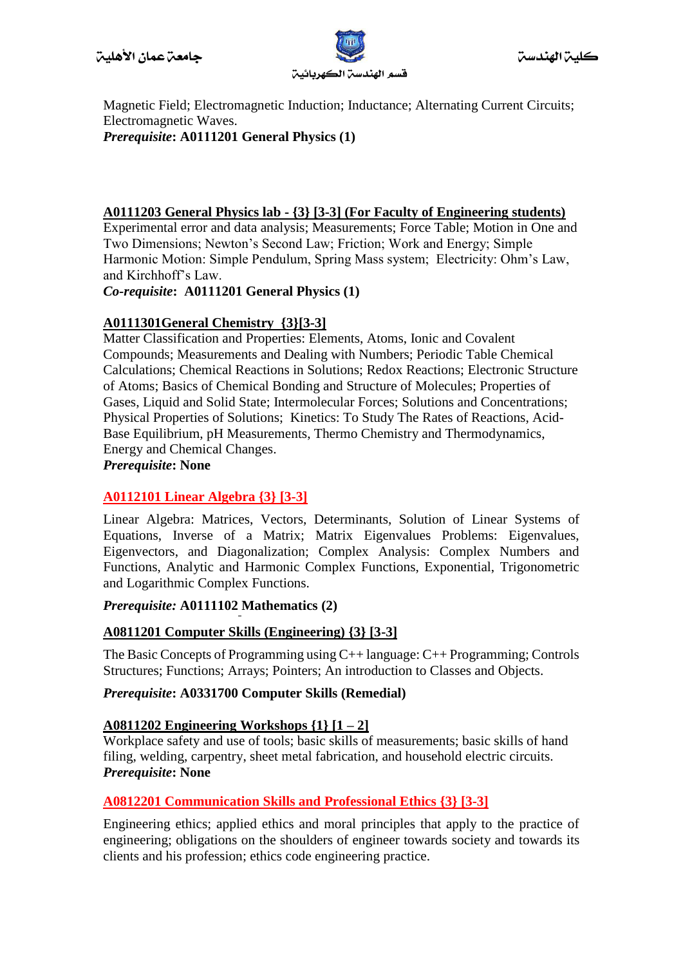

Magnetic Field; Electromagnetic Induction; Inductance; Alternating Current Circuits; Electromagnetic Waves. *Prerequisite***: A0111201 General Physics (1)**

#### **A0111203 General Physics lab - {3} [3-3] (For Faculty of Engineering students)**

Experimental error and data analysis; Measurements; Force Table; Motion in One and Two Dimensions; Newton's Second Law; Friction; Work and Energy; Simple Harmonic Motion: Simple Pendulum, Spring Mass system; Electricity: Ohm's Law, and Kirchhoff's Law.

*Co-requisite***: A0111201 General Physics (1)**

# **A0111301General Chemistry {3}[3-3]**

Matter Classification and Properties: Elements, Atoms, Ionic and Covalent Compounds; Measurements and Dealing with Numbers; Periodic Table Chemical Calculations; Chemical Reactions in Solutions; Redox Reactions; Electronic Structure of Atoms; Basics of Chemical Bonding and Structure of Molecules; Properties of Gases, Liquid and Solid State; Intermolecular Forces; Solutions and Concentrations; Physical Properties of Solutions; Kinetics: To Study The Rates of Reactions, Acid-Base Equilibrium, pH Measurements, Thermo Chemistry and Thermodynamics, Energy and Chemical Changes.

#### *Prerequisite***: None**

# **A0112101 Linear Algebra {3} [3-3]**

Linear Algebra: Matrices, Vectors, Determinants, Solution of Linear Systems of Equations, Inverse of a Matrix; Matrix Eigenvalues Problems: Eigenvalues, Eigenvectors, and Diagonalization; Complex Analysis: Complex Numbers and Functions, Analytic and Harmonic Complex Functions, Exponential, Trigonometric and Logarithmic Complex Functions.

#### *Prerequisite:* **A0111102 Mathematics (2)**

#### **A0811201 Computer Skills (Engineering) {3} [3-3]**

The Basic Concepts of Programming using C++ language: C++ Programming; Controls Structures; Functions; Arrays; Pointers; An introduction to Classes and Objects.

#### *Prerequisite***: A0331700 Computer Skills (Remedial)**

#### **A0811202 Engineering Workshops {1} [1 – 2]**

Workplace safety and use of tools; basic skills of measurements; basic skills of hand filing, welding, carpentry, sheet metal fabrication, and household electric circuits. *Prerequisite***: None**

#### **A0812201 Communication Skills and Professional Ethics {3} [3-3]**

Engineering ethics; applied ethics and moral principles that apply to the practice of engineering; obligations on the shoulders of engineer towards society and towards its clients and his profession; ethics code engineering practice.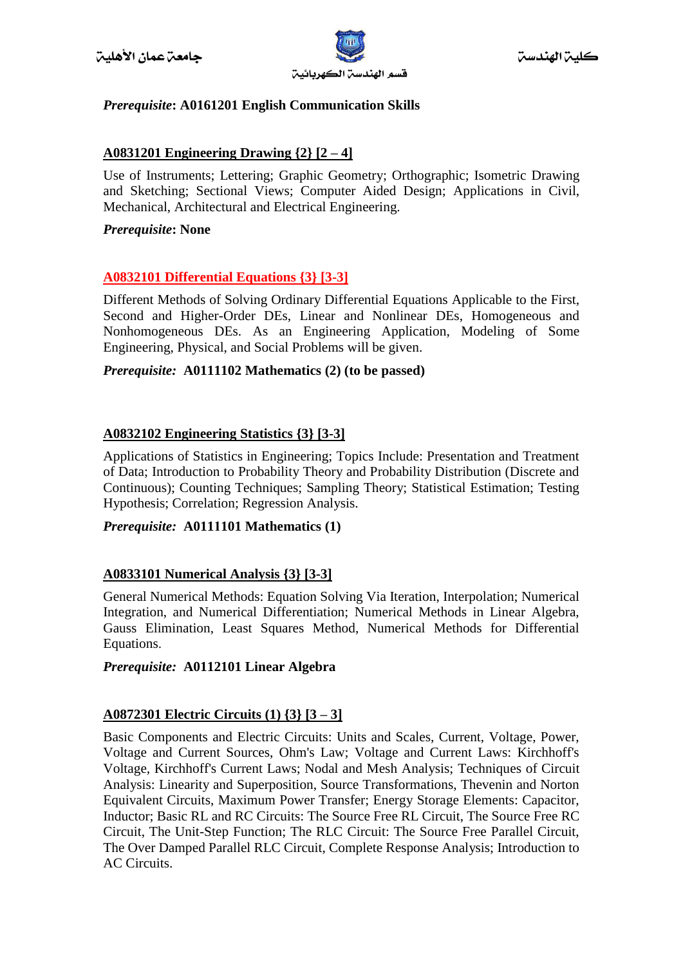

# *Prerequisite***: A0161201 English Communication Skills**

# **A0831201 Engineering Drawing {2} [2 – 4]**

Use of Instruments; Lettering; Graphic Geometry; Orthographic; Isometric Drawing and Sketching; Sectional Views; Computer Aided Design; Applications in Civil, Mechanical, Architectural and Electrical Engineering.

### *Prerequisite***: None**

# **A0832101 Differential Equations {3} [3-3]**

Different Methods of Solving Ordinary Differential Equations Applicable to the First, Second and Higher-Order DEs, Linear and Nonlinear DEs, Homogeneous and Nonhomogeneous DEs. As an Engineering Application, Modeling of Some Engineering, Physical, and Social Problems will be given.

# *Prerequisite:* **A0111102 Mathematics (2) (to be passed)**

# **A0832102 Engineering Statistics {3} [3-3]**

Applications of Statistics in Engineering; Topics Include: Presentation and Treatment of Data; Introduction to Probability Theory and Probability Distribution (Discrete and Continuous); Counting Techniques; Sampling Theory; Statistical Estimation; Testing Hypothesis; Correlation; Regression Analysis.

# *Prerequisite:* **A0111101 Mathematics (1)**

#### **A0833101 Numerical Analysis {3} [3-3]**

General Numerical Methods: Equation Solving Via Iteration, Interpolation; Numerical Integration, and Numerical Differentiation; Numerical Methods in Linear Algebra, Gauss Elimination, Least Squares Method, Numerical Methods for Differential Equations.

#### *Prerequisite:* **A0112101 Linear Algebra**

# **A0872301 Electric Circuits (1) {3} [3 – 3]**

Basic Components and Electric Circuits: Units and Scales, Current, Voltage, Power, Voltage and Current Sources, Ohm's Law; Voltage and Current Laws: Kirchhoff's Voltage, Kirchhoff's Current Laws; Nodal and Mesh Analysis; Techniques of Circuit Analysis: Linearity and Superposition, Source Transformations, Thevenin and Norton Equivalent Circuits, Maximum Power Transfer; Energy Storage Elements: Capacitor, Inductor; Basic RL and RC Circuits: The Source Free RL Circuit, The Source Free RC Circuit, The Unit-Step Function; The RLC Circuit: The Source Free Parallel Circuit, The Over Damped Parallel RLC Circuit, Complete Response Analysis; Introduction to AC Circuits.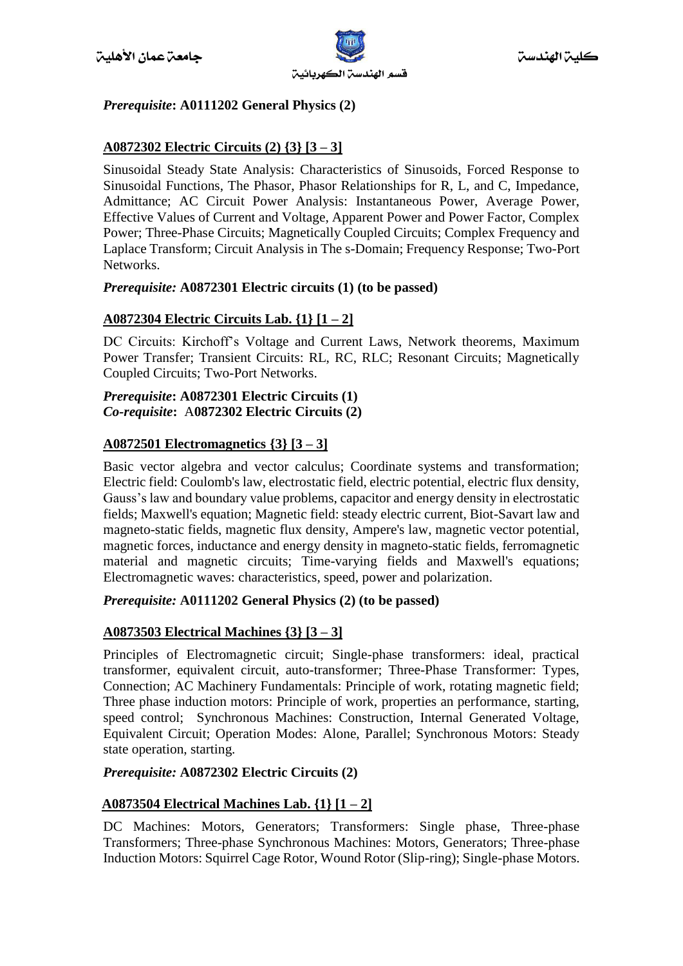

# *Prerequisite***: A0111202 General Physics (2)**

# **A0872302 Electric Circuits (2) {3} [3 – 3]**

Sinusoidal Steady State Analysis: Characteristics of Sinusoids, Forced Response to Sinusoidal Functions, The Phasor, Phasor Relationships for R, L, and C, Impedance, Admittance; AC Circuit Power Analysis: Instantaneous Power, Average Power, Effective Values of Current and Voltage, Apparent Power and Power Factor, Complex Power; Three-Phase Circuits; Magnetically Coupled Circuits; Complex Frequency and Laplace Transform; Circuit Analysis in The s-Domain; Frequency Response; Two-Port Networks.

#### *Prerequisite:* **A0872301 Electric circuits (1) (to be passed)**

# **A0872304 Electric Circuits Lab. {1} [1 – 2]**

DC Circuits: Kirchoff's Voltage and Current Laws, Network theorems, Maximum Power Transfer; Transient Circuits: RL, RC, RLC; Resonant Circuits; Magnetically Coupled Circuits; Two-Port Networks.

#### *Prerequisite***: A0872301 Electric Circuits (1)** *Co-requisite***:** A**0872302 Electric Circuits (2)**

# **A0872501 Electromagnetics {3} [3 – 3]**

Basic vector algebra and vector calculus; Coordinate systems and transformation; Electric field: Coulomb's law, electrostatic field, electric potential, electric flux density, Gauss's law and boundary value problems, capacitor and energy density in electrostatic fields; Maxwell's equation; Magnetic field: steady electric current, Biot-Savart law and magneto-static fields, magnetic flux density, Ampere's law, magnetic vector potential, magnetic forces, inductance and energy density in magneto-static fields, ferromagnetic material and magnetic circuits; Time-varying fields and Maxwell's equations; Electromagnetic waves: characteristics, speed, power and polarization.

#### *Prerequisite:* **A0111202 General Physics (2) (to be passed)**

#### **A0873503 Electrical Machines {3} [3 – 3]**

Principles of Electromagnetic circuit; Single-phase transformers: ideal, practical transformer, equivalent circuit, auto-transformer; Three-Phase Transformer: Types, Connection; AC Machinery Fundamentals: Principle of work, rotating magnetic field; Three phase induction motors: Principle of work, properties an performance, starting, speed control; Synchronous Machines: Construction, Internal Generated Voltage, Equivalent Circuit; Operation Modes: Alone, Parallel; Synchronous Motors: Steady state operation, starting.

#### *Prerequisite:* **A0872302 Electric Circuits (2)**

# **A0873504 Electrical Machines Lab. {1} [1 – 2]**

DC Machines: Motors, Generators; Transformers: Single phase, Three-phase Transformers; Three-phase Synchronous Machines: Motors, Generators; Three-phase Induction Motors: Squirrel Cage Rotor, Wound Rotor (Slip-ring); Single-phase Motors.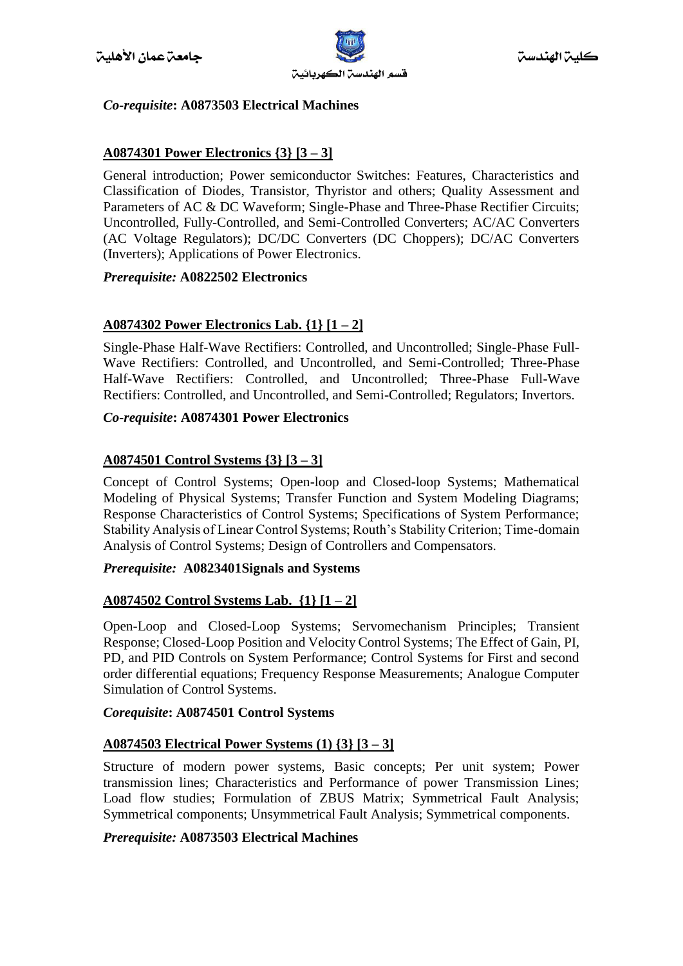

# *Co-requisite***: A0873503 Electrical Machines**

# **A0874301 Power Electronics {3} [3 – 3]**

General introduction; Power semiconductor Switches: Features, Characteristics and Classification of Diodes, Transistor, Thyristor and others; Quality Assessment and Parameters of AC & DC Waveform; Single-Phase and Three-Phase Rectifier Circuits; Uncontrolled, Fully-Controlled, and Semi-Controlled Converters; AC/AC Converters (AC Voltage Regulators); DC/DC Converters (DC Choppers); DC/AC Converters (Inverters); Applications of Power Electronics.

#### *Prerequisite:* **A0822502 Electronics**

# **A0874302 Power Electronics Lab. {1} [1 – 2]**

Single-Phase Half-Wave Rectifiers: Controlled, and Uncontrolled; Single-Phase Full-Wave Rectifiers: Controlled, and Uncontrolled, and Semi-Controlled; Three-Phase Half-Wave Rectifiers: Controlled, and Uncontrolled; Three-Phase Full-Wave Rectifiers: Controlled, and Uncontrolled, and Semi-Controlled; Regulators; Invertors.

# *Co-requisite***: A0874301 Power Electronics**

# **A0874501 Control Systems {3} [3 – 3]**

Concept of Control Systems; Open-loop and Closed-loop Systems; Mathematical Modeling of Physical Systems; Transfer Function and System Modeling Diagrams; Response Characteristics of Control Systems; Specifications of System Performance; Stability Analysis of Linear Control Systems; Routh's Stability Criterion; Time-domain Analysis of Control Systems; Design of Controllers and Compensators.

#### *Prerequisite:* **A0823401Signals and Systems**

# **A0874502 Control Systems Lab. {1} [1 – 2]**

Open-Loop and Closed-Loop Systems; Servomechanism Principles; Transient Response; Closed-Loop Position and Velocity Control Systems; The Effect of Gain, PI, PD, and PID Controls on System Performance; Control Systems for First and second order differential equations; Frequency Response Measurements; Analogue Computer Simulation of Control Systems.

#### *Corequisite***: A0874501 Control Systems**

#### **A0874503 Electrical Power Systems (1) {3} [3 – 3]**

Structure of modern power systems, Basic concepts; Per unit system; Power transmission lines; Characteristics and Performance of power Transmission Lines; Load flow studies; Formulation of ZBUS Matrix; Symmetrical Fault Analysis; Symmetrical components; Unsymmetrical Fault Analysis; Symmetrical components.

#### *Prerequisite:* **A0873503 Electrical Machines**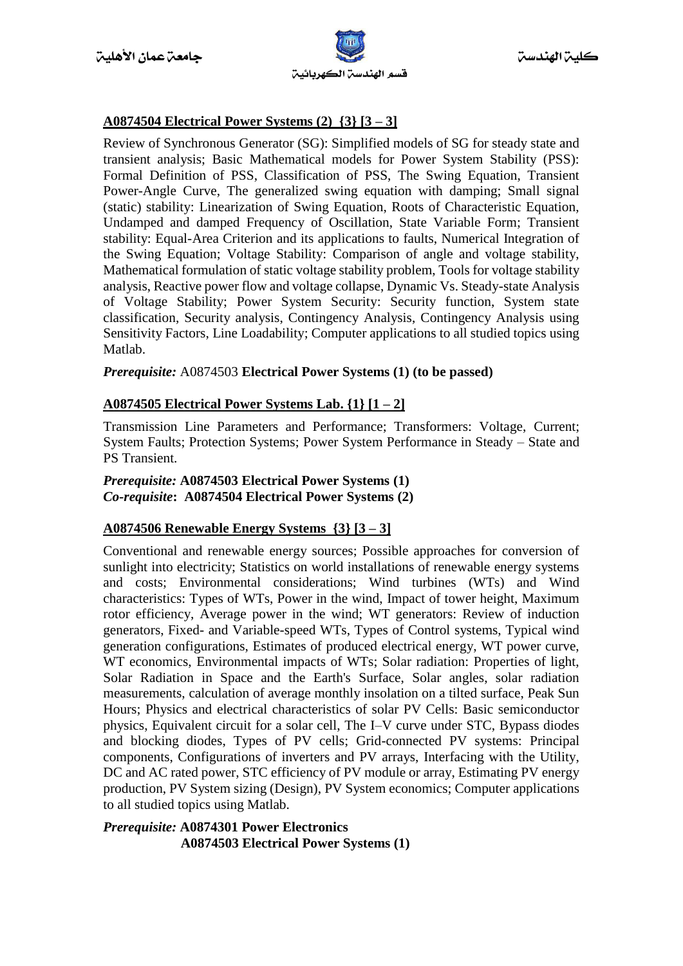

# **A0874504 Electrical Power Systems (2) {3} [3 – 3]**

Review of Synchronous Generator (SG): Simplified models of SG for steady state and transient analysis; Basic Mathematical models for Power System Stability (PSS): Formal Definition of PSS, Classification of PSS, The Swing Equation, Transient Power-Angle Curve, The generalized swing equation with damping; Small signal (static) stability: Linearization of Swing Equation, Roots of Characteristic Equation, Undamped and damped Frequency of Oscillation, State Variable Form; Transient stability: Equal-Area Criterion and its applications to faults, Numerical Integration of the Swing Equation; Voltage Stability: Comparison of angle and voltage stability, Mathematical formulation of static voltage stability problem, Tools for voltage stability analysis, Reactive power flow and voltage collapse, Dynamic Vs. Steady-state Analysis of Voltage Stability; Power System Security: Security function, System state classification, Security analysis, Contingency Analysis, Contingency Analysis using Sensitivity Factors, Line Loadability; Computer applications to all studied topics using Matlab.

#### *Prerequisite:* A0874503 **Electrical Power Systems (1) (to be passed)**

# **A0874505 Electrical Power Systems Lab. {1} [1 – 2]**

Transmission Line Parameters and Performance; Transformers: Voltage, Current; System Faults; Protection Systems; Power System Performance in Steady – State and PS Transient.

#### *Prerequisite:* **A0874503 Electrical Power Systems (1)**  *Co-requisite***: A0874504 Electrical Power Systems (2)**

# **A0874506 Renewable Energy Systems {3} [3 – 3]**

Conventional and renewable energy sources; Possible approaches for conversion of sunlight into electricity; Statistics on world installations of renewable energy systems and costs; Environmental considerations; Wind turbines (WTs) and Wind characteristics: Types of WTs, Power in the wind, Impact of tower height, Maximum rotor efficiency, Average power in the wind; WT generators: Review of induction generators, Fixed- and Variable-speed WTs, Types of Control systems, Typical wind generation configurations, Estimates of produced electrical energy, WT power curve, WT economics, Environmental impacts of WTs; Solar radiation: Properties of light, Solar Radiation in Space and the Earth's Surface, Solar angles, solar radiation measurements, calculation of average monthly insolation on a tilted surface, Peak Sun Hours; Physics and electrical characteristics of solar PV Cells: Basic semiconductor physics, Equivalent circuit for a solar cell, The I–V curve under STC, Bypass diodes and blocking diodes, Types of PV cells; Grid-connected PV systems: Principal components, Configurations of inverters and PV arrays, Interfacing with the Utility, DC and AC rated power, STC efficiency of PV module or array, Estimating PV energy production, PV System sizing (Design), PV System economics; Computer applications to all studied topics using Matlab.

*Prerequisite:* **A0874301 Power Electronics A0874503 Electrical Power Systems (1)**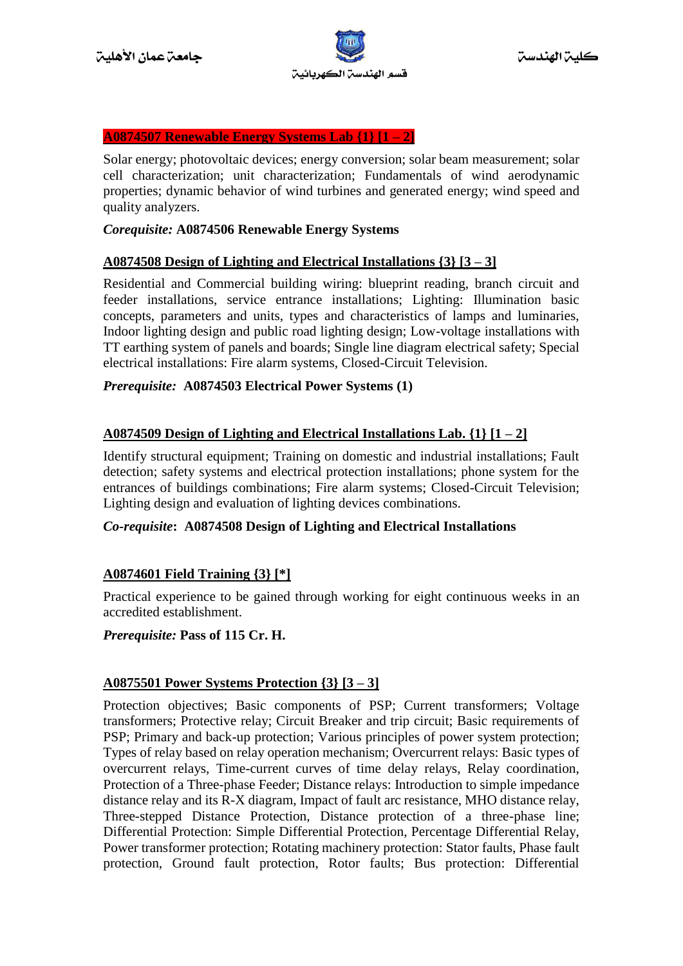

#### **A0874507 Renewable Energy Systems Lab {1} [1 – 2]**

Solar energy; photovoltaic devices; energy conversion; solar beam measurement; solar cell characterization; unit characterization; Fundamentals of wind aerodynamic properties; dynamic behavior of wind turbines and generated energy; wind speed and quality analyzers.

#### *Corequisite:* **A0874506 Renewable Energy Systems**

#### **A0874508 Design of Lighting and Electrical Installations {3} [3 – 3]**

Residential and Commercial building wiring: blueprint reading, branch circuit and feeder installations, service entrance installations; Lighting: Illumination basic concepts, parameters and units, types and characteristics of lamps and luminaries, Indoor lighting design and public road lighting design; Low-voltage installations with TT earthing system of panels and boards; Single line diagram electrical safety; Special electrical installations: Fire alarm systems, Closed-Circuit Television.

#### *Prerequisite:* **A0874503 Electrical Power Systems (1)**

#### **A0874509 Design of Lighting and Electrical Installations Lab. {1} [1 – 2]**

Identify structural equipment; Training on domestic and industrial installations; Fault detection; safety systems and electrical protection installations; phone system for the entrances of buildings combinations; Fire alarm systems; Closed-Circuit Television; Lighting design and evaluation of lighting devices combinations.

#### *Co-requisite***: A0874508 Design of Lighting and Electrical Installations**

#### **A0874601 Field Training {3} [\*]**

Practical experience to be gained through working for eight continuous weeks in an accredited establishment.

#### *Prerequisite:* **Pass of 115 Cr. H.**

#### **A0875501 Power Systems Protection {3} [3 – 3]**

Protection objectives; Basic components of PSP; Current transformers; Voltage transformers; Protective relay; Circuit Breaker and trip circuit; Basic requirements of PSP; Primary and back-up protection; Various principles of power system protection; Types of relay based on relay operation mechanism; Overcurrent relays: Basic types of overcurrent relays, Time-current curves of time delay relays, Relay coordination, Protection of a Three-phase Feeder; Distance relays: Introduction to simple impedance distance relay and its R-X diagram, Impact of fault arc resistance, MHO distance relay, Three-stepped Distance Protection, Distance protection of a three-phase line; Differential Protection: Simple Differential Protection, Percentage Differential Relay, Power transformer protection; Rotating machinery protection: Stator faults, Phase fault protection, Ground fault protection, Rotor faults; Bus protection: Differential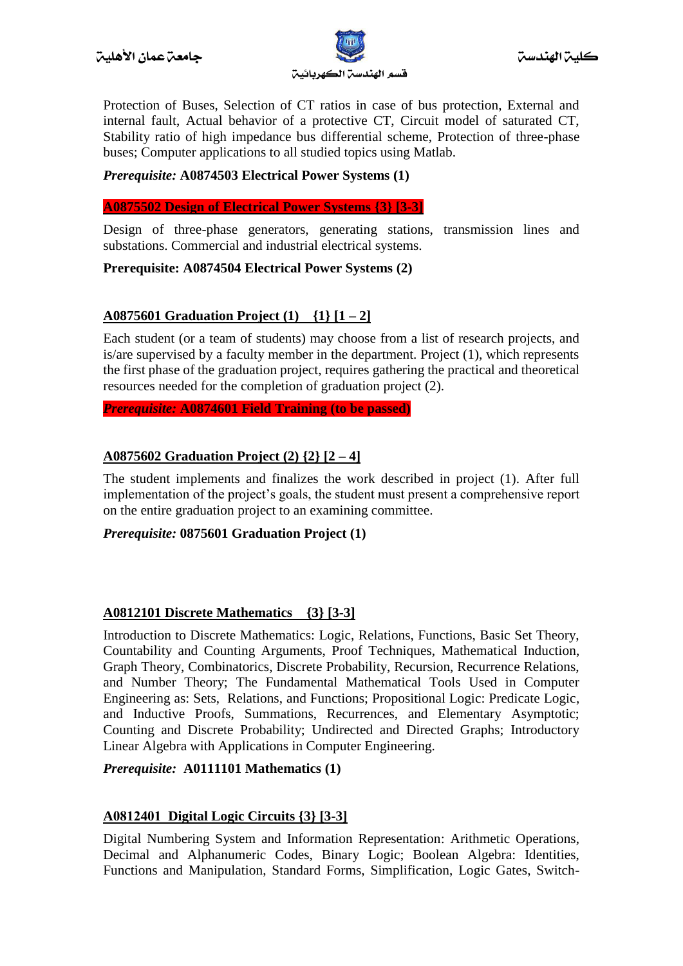

Protection of Buses, Selection of CT ratios in case of bus protection, External and internal fault, Actual behavior of a protective CT, Circuit model of saturated CT, Stability ratio of high impedance bus differential scheme, Protection of three-phase buses; Computer applications to all studied topics using Matlab.

# *Prerequisite:* **A0874503 Electrical Power Systems (1)**

**A0875502 Design of Electrical Power Systems {3} [3-3]**

Design of three-phase generators, generating stations, transmission lines and substations. Commercial and industrial electrical systems.

#### **Prerequisite: A0874504 Electrical Power Systems (2)**

# **A0875601 Graduation Project (1) {1} [1 – 2]**

Each student (or a team of students) may choose from a list of research projects, and is/are supervised by a faculty member in the department. Project (1), which represents the first phase of the graduation project, requires gathering the practical and theoretical resources needed for the completion of graduation project (2).

*Prerequisite:* **A0874601 Field Training (to be passed)**

#### **A0875602 Graduation Project (2) {2} [2 – 4]**

The student implements and finalizes the work described in project (1). After full implementation of the project's goals, the student must present a comprehensive report on the entire graduation project to an examining committee.

#### *Prerequisite:* **0875601 Graduation Project (1)**

#### **A0812101 Discrete Mathematics {3} [3-3]**

Introduction to Discrete Mathematics: Logic, Relations, Functions, Basic Set Theory, Countability and Counting Arguments, Proof Techniques, Mathematical Induction, Graph Theory, Combinatorics, Discrete Probability, Recursion, Recurrence Relations, and Number Theory; The Fundamental Mathematical Tools Used in Computer Engineering as: Sets, Relations, and Functions; Propositional Logic: Predicate Logic, and Inductive Proofs, Summations, Recurrences, and Elementary Asymptotic; Counting and Discrete Probability; Undirected and Directed Graphs; Introductory Linear Algebra with Applications in Computer Engineering.

#### *Prerequisite:* **A0111101 Mathematics (1)**

#### **A0812401 Digital Logic Circuits {3} [3-3]**

Digital Numbering System and Information Representation: Arithmetic Operations, Decimal and Alphanumeric Codes, Binary Logic; Boolean Algebra: Identities, Functions and Manipulation, Standard Forms, Simplification, Logic Gates, Switch-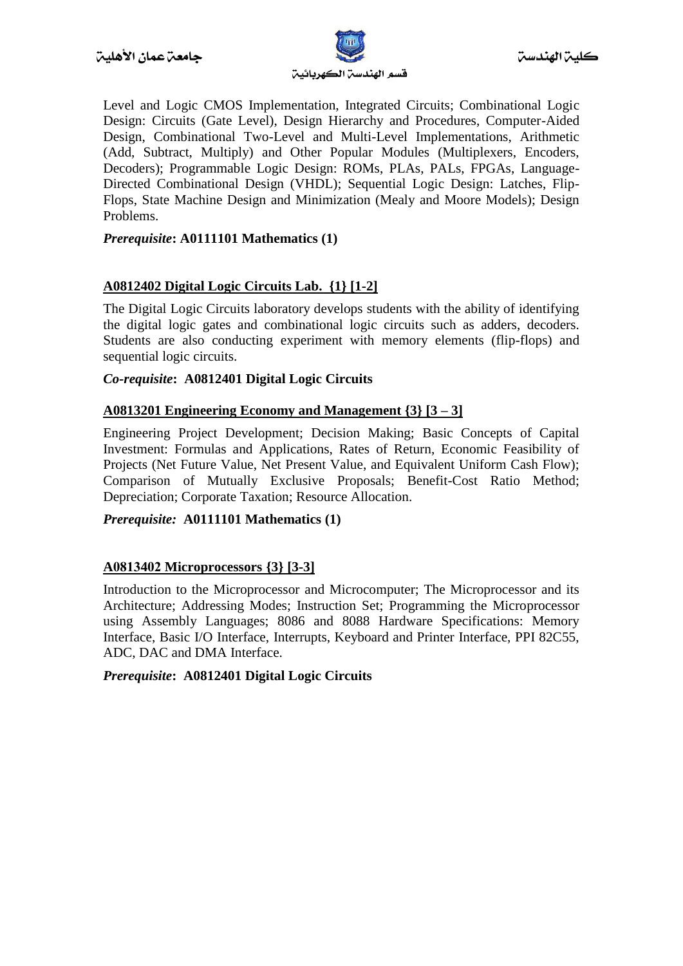

Level and Logic CMOS Implementation, Integrated Circuits; Combinational Logic Design: Circuits (Gate Level), Design Hierarchy and Procedures, Computer-Aided Design, Combinational Two-Level and Multi-Level Implementations, Arithmetic (Add, Subtract, Multiply) and Other Popular Modules (Multiplexers, Encoders, Decoders); Programmable Logic Design: ROMs, PLAs, PALs, FPGAs, Language-Directed Combinational Design (VHDL); Sequential Logic Design: Latches, Flip-Flops, State Machine Design and Minimization (Mealy and Moore Models); Design Problems.

# *Prerequisite***: A0111101 Mathematics (1)**

# **A0812402 Digital Logic Circuits Lab. {1} [1-2]**

The Digital Logic Circuits laboratory develops students with the ability of identifying the digital logic gates and combinational logic circuits such as adders, decoders. Students are also conducting experiment with memory elements (flip-flops) and sequential logic circuits.

#### *Co-requisite***: A0812401 Digital Logic Circuits**

#### **A0813201 Engineering Economy and Management {3} [3 – 3]**

Engineering Project Development; Decision Making; Basic Concepts of Capital Investment: Formulas and Applications, Rates of Return, Economic Feasibility of Projects (Net Future Value, Net Present Value, and Equivalent Uniform Cash Flow); Comparison of Mutually Exclusive Proposals; Benefit-Cost Ratio Method; Depreciation; Corporate Taxation; Resource Allocation.

#### *Prerequisite:* **A0111101 Mathematics (1)**

# **A0813402 Microprocessors {3} [3-3]**

Introduction to the Microprocessor and Microcomputer; The Microprocessor and its Architecture; Addressing Modes; Instruction Set; Programming the Microprocessor using Assembly Languages; 8086 and 8088 Hardware Specifications: Memory Interface, Basic I/O Interface, Interrupts, Keyboard and Printer Interface, PPI 82C55, ADC, DAC and DMA Interface.

#### *Prerequisite***: A0812401 Digital Logic Circuits**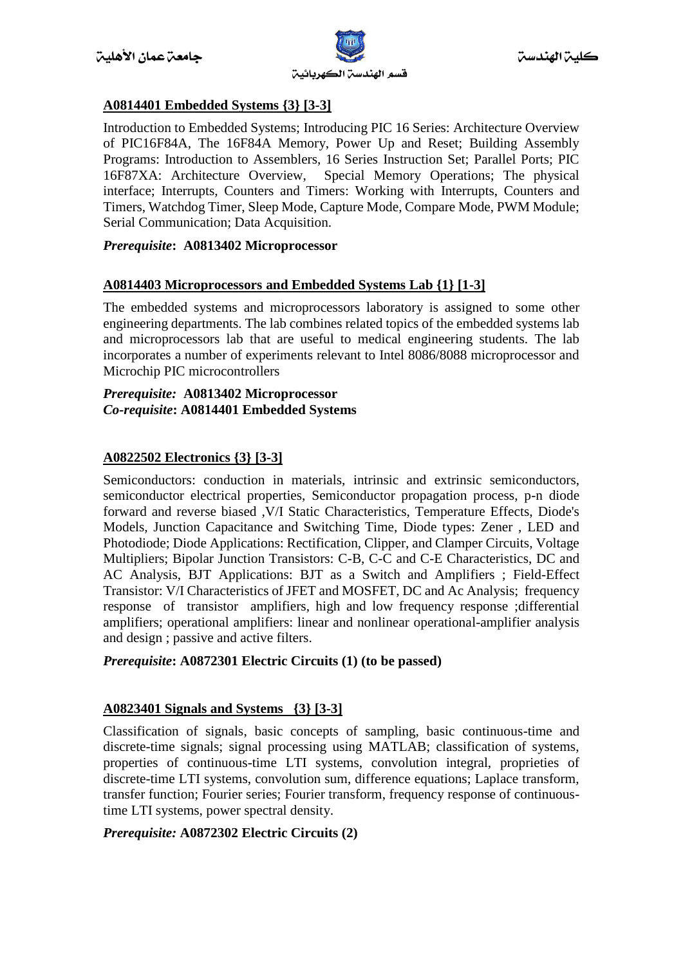

# **A0814401 Embedded Systems {3} [3-3]**

Introduction to Embedded Systems; Introducing PIC 16 Series: Architecture Overview of PIC16F84A, The 16F84A Memory, Power Up and Reset; Building Assembly Programs: Introduction to Assemblers, 16 Series Instruction Set; Parallel Ports; PIC 16F87XA: Architecture Overview, Special Memory Operations; The physical interface; Interrupts, Counters and Timers: Working with Interrupts, Counters and Timers, Watchdog Timer, Sleep Mode, Capture Mode, Compare Mode, PWM Module; Serial Communication; Data Acquisition.

#### *Prerequisite***: A0813402 Microprocessor**

#### **A0814403 Microprocessors and Embedded Systems Lab {1} [1-3]**

The embedded systems and microprocessors laboratory is assigned to some other engineering departments. The lab combines related topics of the embedded systems lab and microprocessors lab that are useful to medical engineering students. The lab incorporates a number of experiments relevant to Intel 8086/8088 microprocessor and Microchip PIC microcontrollers

#### *Prerequisite:* **A0813402 Microprocessor** *Co-requisite***: A0814401 Embedded Systems**

# **A0822502 Electronics {3} [3-3]**

Semiconductors: conduction in materials, intrinsic and extrinsic semiconductors, semiconductor electrical properties, Semiconductor propagation process, p-n diode forward and reverse biased ,V/I Static Characteristics, Temperature Effects, Diode's Models, Junction Capacitance and Switching Time, Diode types: Zener , LED and Photodiode; Diode Applications: Rectification, Clipper, and Clamper Circuits, Voltage Multipliers; Bipolar Junction Transistors: C-B, C-C and C-E Characteristics, DC and AC Analysis, BJT Applications: BJT as a Switch and Amplifiers ; Field-Effect Transistor: V/I Characteristics of JFET and MOSFET, DC and Ac Analysis; frequency response of transistor amplifiers, high and low frequency response ;differential amplifiers; operational amplifiers: linear and nonlinear operational-amplifier analysis and design ; passive and active filters.

#### *Prerequisite***: A0872301 Electric Circuits (1) (to be passed)**

# **A0823401 Signals and Systems {3} [3-3]**

Classification of signals, basic concepts of sampling, basic continuous-time and discrete-time signals; signal processing using MATLAB; classification of systems, properties of continuous-time LTI systems, convolution integral, proprieties of discrete-time LTI systems, convolution sum, difference equations; Laplace transform, transfer function; Fourier series; Fourier transform, frequency response of continuoustime LTI systems, power spectral density.

#### *Prerequisite:* **A0872302 Electric Circuits (2)**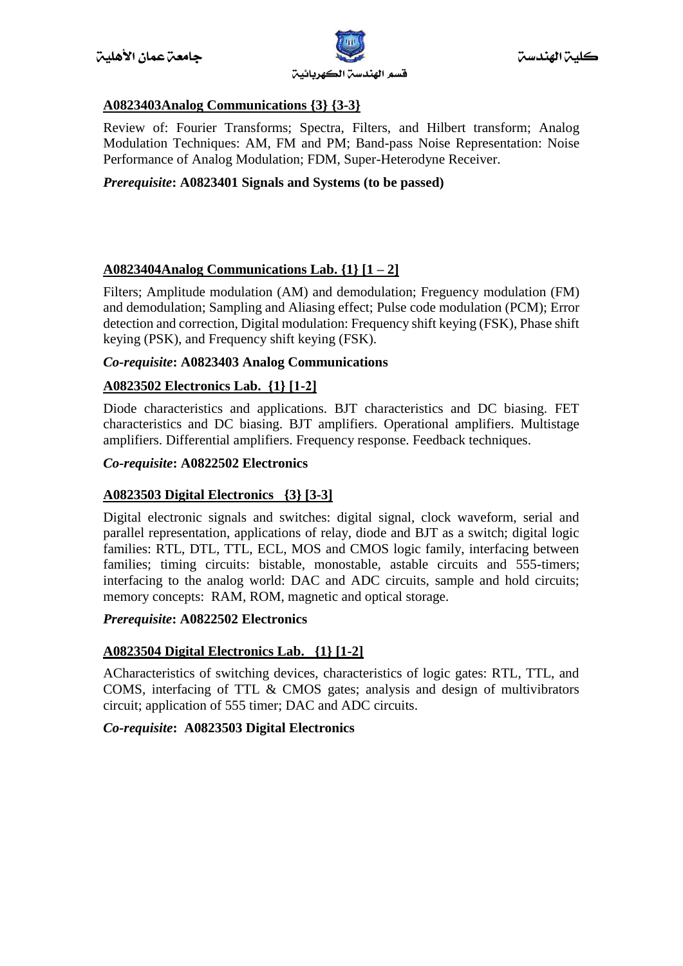

# **A0823403Analog Communications {3} {3-3}**

Review of: Fourier Transforms; Spectra, Filters, and Hilbert transform; Analog Modulation Techniques: AM, FM and PM; Band-pass Noise Representation: Noise Performance of Analog Modulation; FDM, Super-Heterodyne Receiver.

# *Prerequisite***: A0823401 Signals and Systems (to be passed)**

# **A0823404Analog Communications Lab. {1} [1 – 2]**

Filters; Amplitude modulation (AM) and demodulation; Freguency modulation (FM) and demodulation; Sampling and Aliasing effect; Pulse code modulation (PCM); Error detection and correction, Digital modulation: Frequency shift keying (FSK), Phase shift keying (PSK), and Frequency shift keying (FSK).

#### *Co-requisite***: A0823403 Analog Communications**

# **A0823502 Electronics Lab. {1} [1-2]**

Diode characteristics and applications. BJT characteristics and DC biasing. FET characteristics and DC biasing. BJT amplifiers. Operational amplifiers. Multistage amplifiers. Differential amplifiers. Frequency response. Feedback techniques.

#### *Co-requisite***: A0822502 Electronics**

#### **A0823503 Digital Electronics {3} [3-3]**

Digital electronic signals and switches: digital signal, clock waveform, serial and parallel representation, applications of relay, diode and BJT as a switch; digital logic families: RTL, DTL, TTL, ECL, MOS and CMOS logic family, interfacing between families; timing circuits: bistable, monostable, astable circuits and 555-timers; interfacing to the analog world: DAC and ADC circuits, sample and hold circuits; memory concepts: RAM, ROM, magnetic and optical storage.

#### *Prerequisite***: A0822502 Electronics**

#### **A0823504 Digital Electronics Lab. {1} [1-2]**

ACharacteristics of switching devices, characteristics of logic gates: RTL, TTL, and COMS, interfacing of TTL & CMOS gates; analysis and design of multivibrators circuit; application of 555 timer; DAC and ADC circuits.

#### *Co-requisite***: A0823503 Digital Electronics**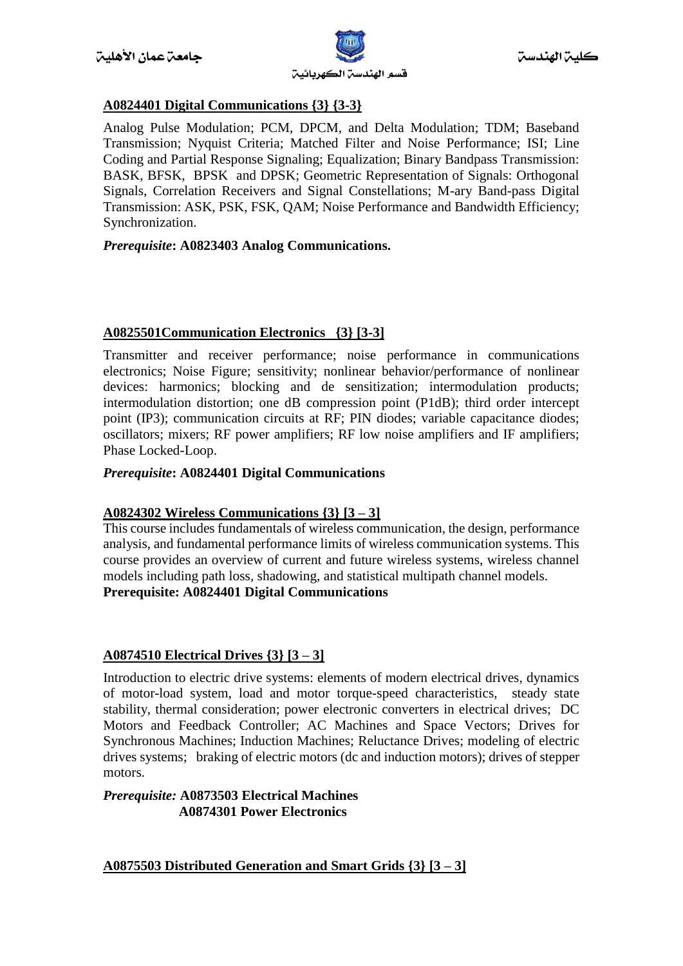

# **A0824401 Digital Communications {3} {3-3}**

Analog Pulse Modulation; PCM, DPCM, and Delta Modulation; TDM; Baseband Transmission; Nyquist Criteria; Matched Filter and Noise Performance; ISI; Line Coding and Partial Response Signaling; Equalization; Binary Bandpass Transmission: BASK, BFSK, BPSK and DPSK; Geometric Representation of Signals: Orthogonal Signals, Correlation Receivers and Signal Constellations; M-ary Band-pass Digital Transmission: ASK, PSK, FSK, QAM; Noise Performance and Bandwidth Efficiency; Synchronization.

#### *Prerequisite***: A0823403 Analog Communications.**

# **A0825501Communication Electronics {3} [3-3]**

Transmitter and receiver performance; noise performance in communications electronics; Noise Figure; sensitivity; nonlinear behavior/performance of nonlinear devices: harmonics; blocking and de sensitization; intermodulation products; intermodulation distortion; one dB compression point (P1dB); third order intercept point (IP3); communication circuits at RF; PIN diodes; variable capacitance diodes; oscillators; mixers; RF power amplifiers; RF low noise amplifiers and IF amplifiers; Phase Locked-Loop.

#### *Prerequisite***: A0824401 Digital Communications**

#### **A0824302 Wireless Communications {3} [3 – 3]**

This course includes fundamentals of wireless communication, the design, performance analysis, and fundamental performance limits of wireless communication systems. This course provides an overview of current and future wireless systems, wireless channel models including path loss, shadowing, and statistical multipath channel models. **Prerequisite: A0824401 Digital Communications**

#### **A0874510 Electrical Drives {3} [3 – 3]**

Introduction to electric drive systems: elements of modern electrical drives, dynamics of motor-load system, load and motor torque-speed characteristics, steady state stability, thermal consideration; power electronic converters in electrical drives; DC Motors and Feedback Controller; AC Machines and Space Vectors; Drives for Synchronous Machines; Induction Machines; Reluctance Drives; modeling of electric drives systems; braking of electric motors (dc and induction motors); drives of stepper motors.

#### *Prerequisite:* **A0873503 Electrical Machines** **A0874301 Power Electronics**

#### **A0875503 Distributed Generation and Smart Grids {3} [3 – 3]**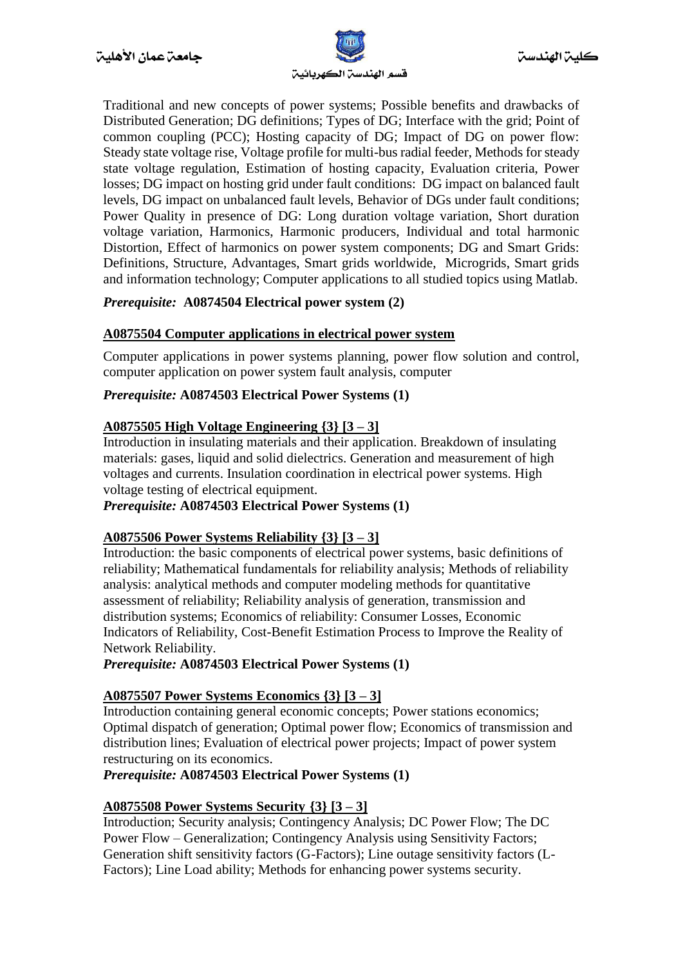

Traditional and new concepts of power systems; Possible benefits and drawbacks of Distributed Generation; DG definitions; Types of DG; Interface with the grid; Point of common coupling (PCC); Hosting capacity of DG; Impact of DG on power flow: Steady state voltage rise, Voltage profile for multi-bus radial feeder, Methods for steady state voltage regulation, Estimation of hosting capacity, Evaluation criteria, Power losses; DG impact on hosting grid under fault conditions: DG impact on balanced fault levels, DG impact on unbalanced fault levels, Behavior of DGs under fault conditions; Power Quality in presence of DG: Long duration voltage variation, Short duration voltage variation, Harmonics, Harmonic producers, Individual and total harmonic Distortion, Effect of harmonics on power system components; DG and Smart Grids: Definitions, Structure, Advantages, Smart grids worldwide, Microgrids, Smart grids and information technology; Computer applications to all studied topics using Matlab.

# *Prerequisite:* **A0874504 Electrical power system (2)**

#### **A0875504 Computer applications in electrical power system**

Computer applications in power systems planning, power flow solution and control, computer application on power system fault analysis, computer

#### *Prerequisite:* **A0874503 Electrical Power Systems (1)**

#### **A0875505 High Voltage Engineering {3} [3 – 3]**

Introduction in insulating materials and their application. Breakdown of insulating materials: gases, liquid and solid dielectrics. Generation and measurement of high voltages and currents. Insulation coordination in electrical power systems. High voltage testing of electrical equipment.

#### *Prerequisite:* **A0874503 Electrical Power Systems (1)**

#### **A0875506 Power Systems Reliability {3} [3 – 3]**

Introduction: the basic components of electrical power systems, basic definitions of reliability; Mathematical fundamentals for reliability analysis; Methods of reliability analysis: analytical methods and computer modeling methods for quantitative assessment of reliability; Reliability analysis of generation, transmission and distribution systems; Economics of reliability: Consumer Losses, Economic Indicators of Reliability, Cost-Benefit Estimation Process to Improve the Reality of Network Reliability.

*Prerequisite:* **A0874503 Electrical Power Systems (1)** 

#### **A0875507 Power Systems Economics {3} [3 – 3]**

Introduction containing general economic concepts; Power stations economics; Optimal dispatch of generation; Optimal power flow; Economics of transmission and distribution lines; Evaluation of electrical power projects; Impact of power system restructuring on its economics.

#### *Prerequisite:* **A0874503 Electrical Power Systems (1)**

#### **A0875508 Power Systems Security {3} [3 – 3]**

Introduction; Security analysis; Contingency Analysis; DC Power Flow; The DC Power Flow – Generalization; Contingency Analysis using Sensitivity Factors; Generation shift sensitivity factors (G-Factors); Line outage sensitivity factors (L-Factors); Line Load ability; Methods for enhancing power systems security.